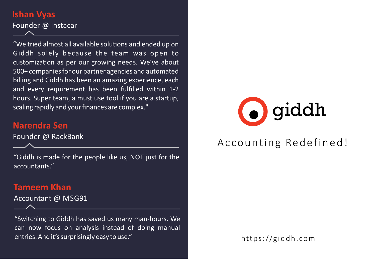### **Ishan Vyas**

Founder @ Instacar

"We tried almost all available solutions and ended up on Giddh solely because the team was open to customization as per our growing needs. We've about 500+ companies for our partner agencies and automated billing and Giddh has been an amazing experience, each and every requirement has been fulfilled within 1‐2 hours. Super team, a must use tool if you are a startup, scaling rapidly and your finances are complex."

#### **Narendra Sen**

Founder @ RackBank

"Giddh is made for the people like us, NOT just for the accountants."

#### **Tameem Khan**

Accountant @ MSG91

"Switching to Giddh has saved us many man‐hours. We can now focus on analysis instead of doing manual entries. And it's surprisingly easy to use."



# Ac counting Redefined!

https://giddh. com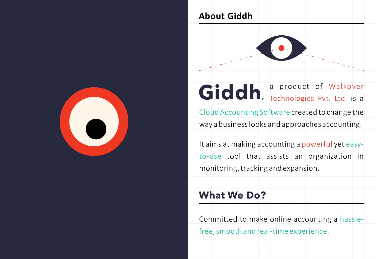

### **About Giddh**



# Giddh, a product of Walkover

Cloud Accounting Software created to change the way a business looks and approaches accounting.

It aims at making accounting a powerful yet easy‐ to‐use tool that assists an organization in monitoring, tracking and expansion.

# **What We Do?**

Committed to make online accounting a hassle‐

free, smooth and real-time experience.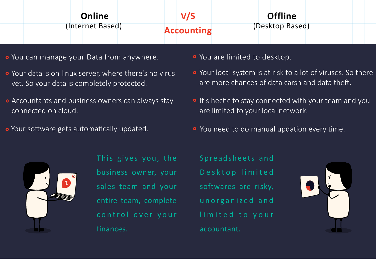| Online           | V/S               | <b>Offline</b>  |  |
|------------------|-------------------|-----------------|--|
| (Internet Based) | <b>Accounting</b> | (Desktop Based) |  |
|                  |                   |                 |  |

- o You can manage your Data from anywhere. You are limited to desktop.
- Your data is on linux server, where there's no virus yet. So your data is completely protected.
- Accountants and business owners can always stay connected on cloud.
- 
- 
- Your local system is at risk to a lot of viruses. So there are more chances of data carsh and data theft
- It's hectic to stay connected with your team and you are limited to your local network.
- $\circ$  Your software gets automatically updated.  $\circ$  You need to do manual updation every time.



This gives you, the business owner, your sales team and your entire team, complete finances.

Desktop limited softwares are risky, unorganized and limited to your accountant.

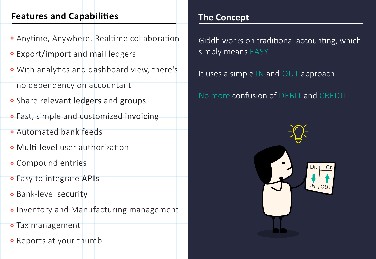### **Features and Capabilies**

- **Anytime, Anywhere, Realtime collaboration**
- Export/import and mail ledgers
- With analytics and dashboard view, there's

no dependency on accountant

- Share relevant ledgers and groups
- **•** Fast, simple and customized invoicing
- Automated bank feeds
- **o** Multi-level user authorization
- Compound entries
- Easy to integrate APIs
- Bank‐level security
- o Inventory and Manufacturing management
- Tax management
- Reports at your thumb

# **The Concept**

Giddh works on traditional accounting, which simply means EASY

It uses a simple IN and OUT approach

No more confusion of DEBIT and CREDIT

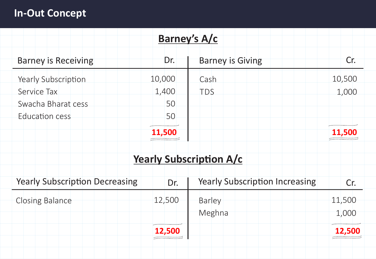# **In‐Out Concept**

| Barney's A/c                          |        |                                       |        |  |
|---------------------------------------|--------|---------------------------------------|--------|--|
| <b>Barney is Receiving</b>            | Dr.    | <b>Barney is Giving</b>               | Cr.    |  |
| Yearly Subscription                   | 10,000 | Cash                                  | 10,500 |  |
| Service Tax                           | 1,400  | <b>TDS</b>                            | 1,000  |  |
| Swacha Bharat cess                    | 50     |                                       |        |  |
| Education cess                        | 50     |                                       |        |  |
|                                       | 11,500 |                                       | 11,500 |  |
|                                       |        | <b>Yearly Subscription A/c</b>        |        |  |
| <b>Yearly Subscription Decreasing</b> | Dr.    | <b>Yearly Subscription Increasing</b> | Cr.    |  |
| <b>Closing Balance</b>                | 12,500 | Barley                                | 11,500 |  |
|                                       |        | Meghna                                | 1,000  |  |
|                                       | 12.500 |                                       | 12.500 |  |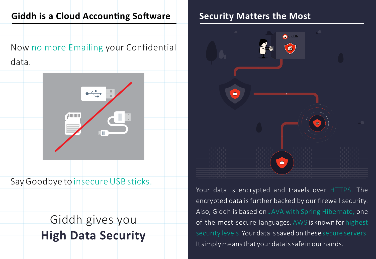# **Giddh is a Cloud Accounting Software**

Now no more Emailing your Confidential

data.



Say Goodbye to insecure USB sticks.

# Giddh gives you **High Data Security**

## **Security Matters the Most**



Your data is encrypted and travels over HTTPS. The encrypted data is further backed by our firewall security. Also, Giddh is based on JAVA with Spring Hibernate, one of the most secure languages. AWS is known for highest security levels. Your data is saved on these secure servers. It simply means that your data is safe in our hands.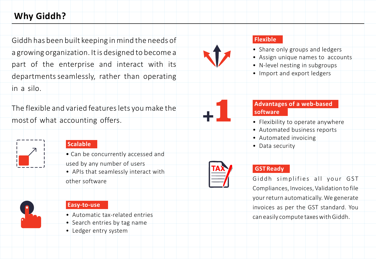## **Why Giddh?**

Giddh has been built keeping in mind the needs of a growing organization. It is designed to become a part of the enterprise and interact with its departments seamlessly, rather than operating in a silo.

The flexible and varied features lets you make the most of what accounting offers.



#### **Scalable**

- Can be concurrently accessed and used by any number of users
- APIs that seamlessly interact with other software



#### **Easy‐to‐use**

- Automatic tax‐related entries
- Search entries by tag name
- Ledger entry system



+1

#### **Flexible**

- Share only groups and ledgers
- Assign unique names to accounts
- N-level nesting in subgroups
- Import and export ledgers

#### **Advantages of a web‐based software**

- Flexibility to operate anywhere
- Automated business reports
- Automated invoicing
- Data security

#### **GST Ready**

Giddh simplifies all your GST Compliances, Invoices, Validation to file your return automatically. We generate invoices as per the GST standard. You can easily compute taxes with Giddh.